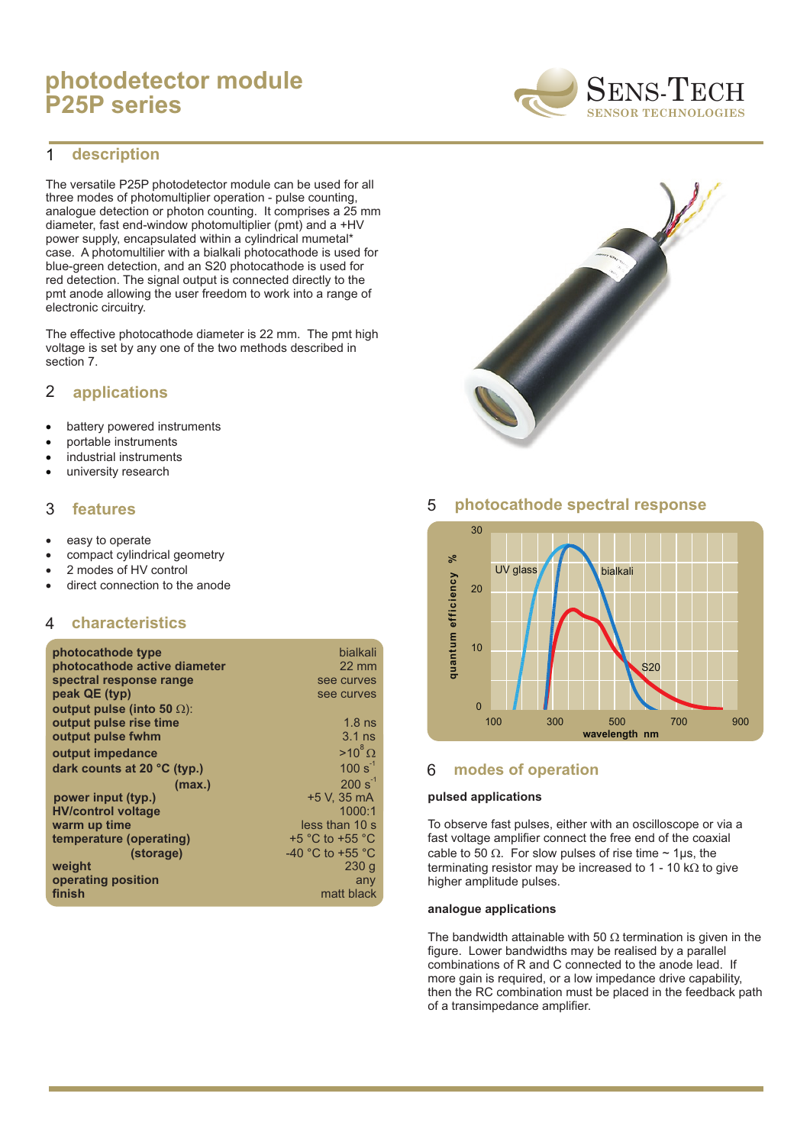# **photodetector module P25P series**

#### **description** 1

The versatile P25P photodetector module can be used for all three modes of photomultiplier operation - pulse counting, analogue detection or photon counting. It comprises a 25 mm diameter, fast end-window photomultiplier (pmt) and a +HV power supply, encapsulated within a cylindrical mumetal\* case. A photomultilier with a bialkali photocathode is used for blue-green detection, and an S20 photocathode is used for red detection. The signal output is connected directly to the pmt anode allowing the user freedom to work into a range of electronic circuitry.

The effective photocathode diameter is 22 mm. The pmt high voltage is set by any one of the two methods described in section 7.

#### **applications** 2

battery powered instruments portable instruments industrial instruments university research

### 3 **features**

easy to operate compact cylindrical geometry 2 modes of HV control direct connection to the anode

#### 4 **characteristics**

| photocathode type            | bialkali                             |
|------------------------------|--------------------------------------|
| photocathode active diameter | $22 \text{ mm}$                      |
| spectral response range      | see curves                           |
| peak QE (typ)                | see curves                           |
| output pulse (into 50 ):     |                                      |
| output pulse rise time       | $1.8$ ns                             |
| output pulse fwhm            | $3.1$ ns                             |
| output impedance             | $>10^8$                              |
| dark counts at 20 °C (typ.)  | $100 s^{-1}$                         |
| (max.)                       | $200 s^{-1}$                         |
| power input (typ.)           | +5 V. 35 mA                          |
| <b>HV/control voltage</b>    | 1000:1                               |
| warm up time                 | less than 10 s                       |
| temperature (operating)      | $+5$ °C to $+55$ °C                  |
| (storage)                    | -40 $^{\circ}$ C to +55 $^{\circ}$ C |
| weight                       | 230q                                 |
| operating position           | any                                  |
| finish                       | matt black                           |

## 5 **photocathode spectral response**



### 6 **modes of operation**

### **pulsed applications**

To observe fast pulses, either with an oscilloscope or via a fast voltage amplifier connect the free end of the coaxial cable to 50  $\;\;$ . For slow pulses of rise time  $\sim$  1µs, the terminating resistor may be increased to 1 - 10 k to give higher amplitude pulses.

### **analogue applications**

The bandwidth attainable with 50 termination is given in the figure. Lower bandwidths may be realised by a parallel combinations of R and C connected to the anode lead. If more gain is required, or a low impedance drive capability, then the RC combination must be placed in the feedback path of a transimpedance amplifier.